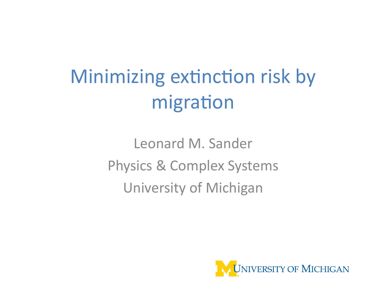# Minimizing extinction risk by migration

Leonard M. Sander Physics & Complex Systems University of Michigan

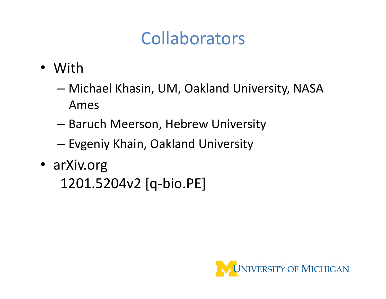# Collaborators'

- With
	- Michael Khasin, UM, Oakland University, NASA Ames'
	- Baruch Meerson, Hebrew University
	- Evgeniy Khain, Oakland University
- arXiv.org 1201.5204v2 [q-bio.PE]

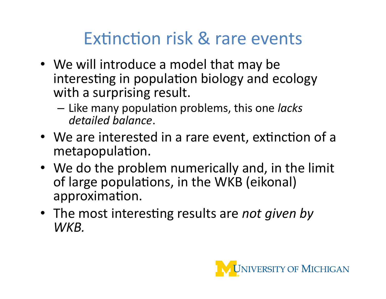# Extinction risk & rare events

- We will introduce a model that may be interesting in population biology and ecology with a surprising result.
	- Like'many'popula\*on'problems,'this'one'*lacks&* detailed balance.
- We are interested in a rare event, extinction of a metapopulation.
- We do the problem numerically and, in the limit of large populations, in the WKB (eikonal) approximation.
- The most interesting results are *not given by WKB.*

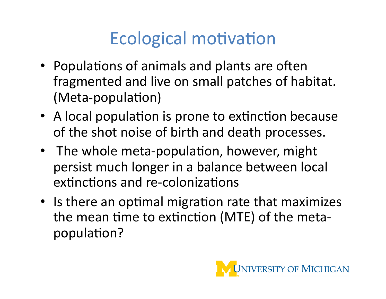# Ecological motivation

- Populations of animals and plants are often fragmented and live on small patches of habitat. (Meta-population)
- A local population is prone to extinction because of the shot noise of birth and death processes.
- The whole meta-population, however, might persist much longer in a balance between local extinctions and re-colonizations
- Is there an optimal migration rate that maximizes the mean time to extinction (MTE) of the metapopulation?

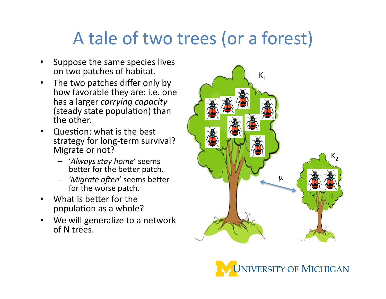### A tale of two trees (or a forest)

- Suppose the same species lives on two patches of habitat.
- The two patches differ only by how favorable they are: i.e. one has a larger *carrying capacity* (steady state population) than the other.
- Question: what is the best strategy for long-term survival? Migrate or not?
	- $-$  'Always stay home' seems better for the better patch.
	- *'Migrate often'* seems better for the worse patch.
- What is better for the population as a whole?
- We will generalize to a network of N trees.



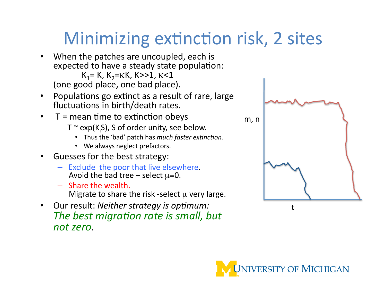# Minimizing extinction risk, 2 sites

- When the patches are uncoupled, each is expected to have a steady state population:  $K_1$ = K,  $K_2$ = $K$ K, K>>1,  $K$ <1 (one good place, one bad place).
- Populations go extinct as a result of rare, large fluctuations in  $birth/death$  rates.
- $T =$  mean time to extinction obeys
	- T  $\sim$  exp(K<sub>i</sub>S), S of order unity, see below.
		- Thus the 'bad' patch has *much faster extinction*.
		- We always neglect prefactors.
- Guesses for the best strategy:
	- Exclude the poor that live elsewhere.<br>Avoid the bad tree select  $\mu$ =0.
	- Share the wealth. Migrate to share the risk-select  $\mu$  very large.
- Our result: Neither strategy is optimum: *The best migration rate is small, but not&zero.*



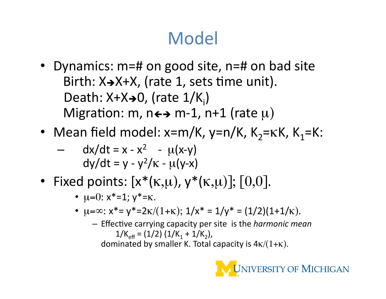# **Model**

- Dynamics:  $m=#$  on good site,  $n=#$  on bad site  $Birth: X\rightarrow X+X,$  (rate 1, sets time unit). Death: X+X→0, (rate 1/K<sub>i</sub>) Migration: m,  $n \leftrightarrow m-1$ ,  $n+1$  (rate  $\mu$ )
- Mean field model: x=m/K, y=n/K, K<sub>2</sub>= $K$ K, K<sub>1</sub>=K:

$$
-\, dx/dt = x - x^2 - \mu(x-y) \ndy/dt = y - y^2/\kappa - \mu(y-x)
$$

- Fixed points:  $[x*(\kappa,\mu), y*(\kappa,\mu)]$ ;  $[0,0]$ .
	- $\mu=0: x^*=1; y^*=k.$
	- $\mu = \infty$ :  $x^* = y^* = 2\kappa/(1+\kappa); 1/x^* = 1/y^* = (1/2)(1+1/\kappa).$ 
		- $-$  Effective carrying capacity per site is the *harmonic mean*  $1/K_{\text{eff}} = (1/2) (1/K_1 + 1/K_2),$

dominated by smaller K. Total capacity is  $4\kappa/(1+\kappa)$ .

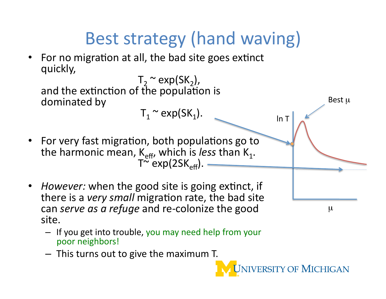

 $-$  This turns out to give the maximum T.

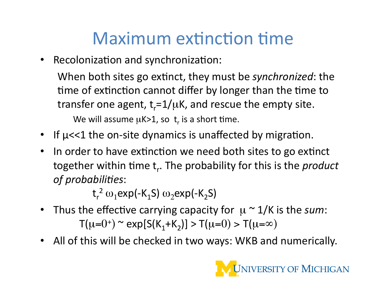# Maximum extinction time

• Recolonization and synchronization:

When both sites go extinct, they must be *synchronized*: the time of extinction cannot differ by longer than the time to transfer one agent,  $t_r = 1/\mu$ K, and rescue the empty site. We will assume  $\mu$ K>1, so  $t_r$  is a short time.

- If  $\mu$ <<1 the on-site dynamics is unaffected by migration.
- In order to have extinction we need both sites to go extinct together within time t<sub>r</sub>. The probability for this is the *product*  $of$  probabilities:

 $t_r^2$   $\omega_1$ exp(-K $_1$ S)  $\omega_2$ exp(-K $_2$ S)

- Thus the effective carrying capacity for  $\mu \sim 1/K$  is the *sum*:  $T(\mu=0^+)$  ~ exp[S(K<sub>1</sub>+K<sub>2</sub>)] > T( $\mu=0$ ) > T( $\mu=\infty$ )
- All of this will be checked in two ways: WKB and numerically.

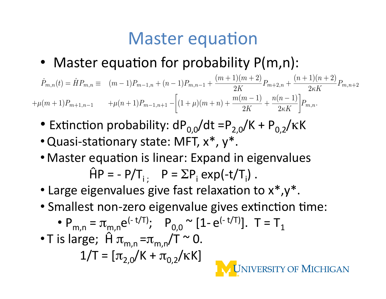#### **Master equation**

• Master equation for probability  $P(m,n)$ :

$$
\dot{P}_{m,n}(t) = \hat{H}P_{m,n} \equiv (m-1)P_{m-1,n} + (n-1)P_{m,n-1} + \frac{(m+1)(m+2)}{2K}P_{m+2,n} + \frac{(n+1)(n+2)}{2\kappa K}P_{m,n+2}
$$

$$
+\mu(m+1)P_{m+1,n-1} + \mu(n+1)P_{m-1,n+1} - \left[ (1+\mu)(m+n) + \frac{m(m-1)}{2K} + \frac{n(n-1)}{2\kappa K} \right]P_{m,n}.
$$

- Extinction probability:  $dP_{0.0}/dt = P_{2.0}/K + P_{0.2}/KK$
- Quasi-stationary state: MFT,  $x^*$ ,  $y^*$ .
- Master equation is linear: Expand in eigenvalues  $\hat{H}P = -P/T_{i}$ ;  $P = \sum P_{i} exp(-t/T_{i}).$
- Large eigenvalues give fast relaxation to  $x^*$ ,  $y^*$ .
- Smallest non-zero eigenvalue gives extinction time:

• 
$$
P_{m,n} = \pi_{m,n} e^{(-t/T)}
$$
;  $P_{0,0} \sim [1 - e^{(-t/T)}]$ .  $T = T_1$ 

• T is large; 
$$
\hat{H} \pi_{m,n} = \pi_{m,n}/T \approx 0
$$
.  
1/T =  $[\pi_{2,0}/K + \pi_{0,2}/KK]$ 

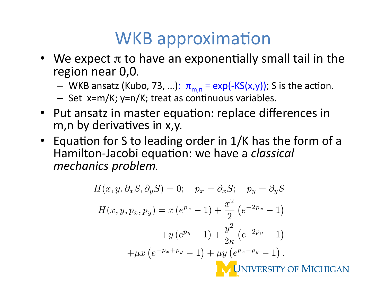#### WKB approximation

- We expect  $\pi$  to have an exponentially small tail in the region near 0,0.
	- WKB ansatz (Kubo, 73, ...):  $\pi_{m,n} = \exp(-KS(x,y))$ ; S is the action.
	- Set x=m/K; y=n/K; treat as continuous variables.
- Put ansatz in master equation: replace differences in m, n by derivatives in x, y.
- Equation for S to leading order in  $1/K$  has the form of a Hamilton-Jacobi equation: we have a *classical mechanics problem.*

$$
H(x, y, \partial_x S, \partial_y S) = 0; \quad p_x = \partial_x S; \quad p_y = \partial_y S
$$

$$
H(x, y, p_x, p_y) = x (e^{p_x} - 1) + \frac{x^2}{2} (e^{-2p_x} - 1)
$$

$$
+ y (e^{p_y} - 1) + \frac{y^2}{2\kappa} (e^{-2p_y} - 1)
$$

$$
+ \mu x (e^{-p_x + p_y} - 1) + \mu y (e^{p_x - p_y} - 1).
$$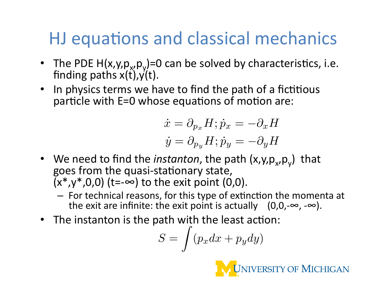# HJ equations and classical mechanics

- The PDE  $H(x,y,p_x,p_y)=0$  can be solved by characteristics, i.e. finding paths  $x(t)$ ,  $y(t)$ .
- In physics terms we have to find the path of a fictitious particle with  $E=0$  whose equations of motion are:

$$
\dot{x} = \partial_{p_x} H; \dot{p}_x = -\partial_x H
$$

$$
\dot{y} = \partial_{p_y} H; \dot{p}_y = -\partial_y H
$$

- We need to find the *instanton*, the path (x,y,p<sub>x</sub>,p<sub>v</sub>) that goes from the quasi-stationary state,  $(x^*,y^*,0,0)$  (t=-∞) to the exit point (0,0).
	- For technical reasons, for this type of extinction the momenta at the exit are infinite: the exit point is actually  $(0,0,-\infty,-\infty)$ .
- The instanton is the path with the least action:

$$
S = \int (p_x dx + p_y dy)
$$

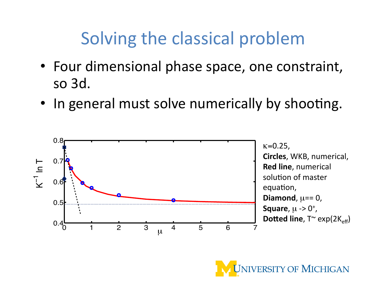# Solving the classical problem

- Four dimensional phase space, one constraint, so 3d.
- In general must solve numerically by shooting.



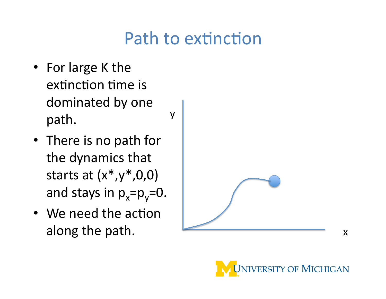#### Path to extinction

y'

- For large K the extinction time is dominated by one path.
- There is no path for the dynamics that starts at  $(x^*,y^*,0,0)$ and stays in  $p_x=p_y=0$ .
- We need the action



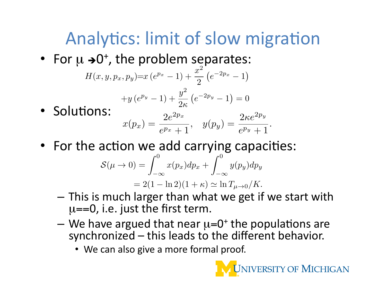# Analytics: limit of slow migration

• For  $\mu \rightarrow 0^+$ , the problem separates:

$$
H(x, y, p_x, p_y)=x(e^{p_x}-1)+\frac{x^2}{2}(e^{-2p_x}-1)
$$

$$
+y(e^{p_y}-1)+\frac{y^2}{2\kappa}(e^{-2p_y}-1)=0
$$

- Solutions:  $x(p_x) = \frac{2e^{2p_x}}{e^{p_x} + 1}, \quad y(p_y) = \frac{2\kappa e^{2p_y}}{e^{p_y} + 1}.$
- For the action we add carrying capacities:

$$
\mathcal{S}(\mu \to 0) = \int_{-\infty}^{0} x(p_x) dp_x + \int_{-\infty}^{0} y(p_y) dp_y
$$
  
= 2(1 - \ln 2)(1 + \kappa) \simeq \ln T\_{\mu \to 0} / K.

- This is much larger than what we get if we start with  $\mu$ ==0, i.e. just the first term.
- We have argued that near  $\mu$ =0<sup>+</sup> the populations are synchronized – this leads to the different behavior.
	- We can also give a more formal proof.

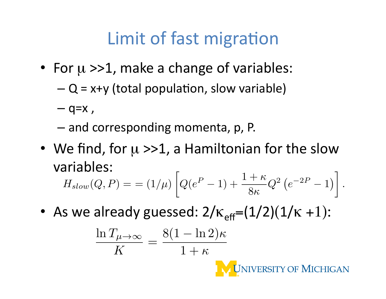# Limit of fast migration

- For  $\mu >> 1$ , make a change of variables:
	- $-Q = x+y$  (total population, slow variable)
	- $-$  q=x,
	- $-$  and corresponding momenta, p, P.
- We find, for  $\mu >> 1$ , a Hamiltonian for the slow variables:'

$$
H_{slow}(Q, P) = (1/\mu) \left[ Q(e^P - 1) + \frac{1+\kappa}{8\kappa} Q^2 (e^{-2P} - 1) \right].
$$

• As we already guessed:  $2/\kappa_{\text{eff}}=(1/2)(1/\kappa +1)$ :

$$
\frac{\ln T_{\mu \to \infty}}{K} = \frac{8(1 - \ln 2)\kappa}{1 + \kappa}
$$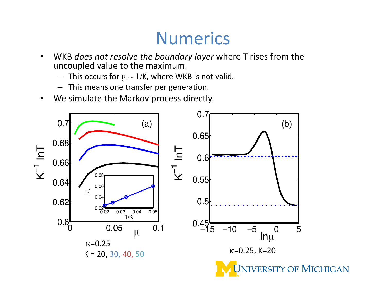#### Numerics

- WKB *does not resolve the boundary layer* where T rises from the uncoupled value to the maximum.
	- This occurs for  $\mu \sim 1/K$ , where WKB is not valid.
	- This means one transfer per generation.
- We simulate the Markov process directly.

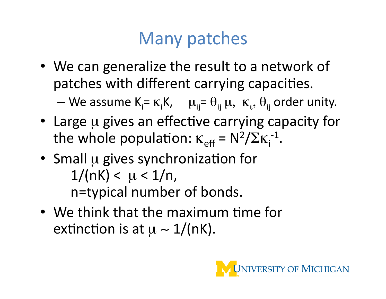### Many patches

• We can generalize the result to a network of patches with different carrying capacities.

— We assume  $K_i = \kappa_i K$ ,  $\mu_{ij} = \theta_{ij} \mu$ ,  $\kappa_{i}$ ,  $\theta_{ij}$  order unity.

- Large u gives an effective carrying capacity for the whole population:  $\kappa_{\text{eff}} = N^2 / \Sigma \kappa_i^{-1}$ .
- Small  $\mu$  gives synchronization for  $1/(nK) < \mu < 1/n$ , n=typical number of bonds.
- We think that the maximum time for extinction is at  $\mu \sim 1/(nK)$ .

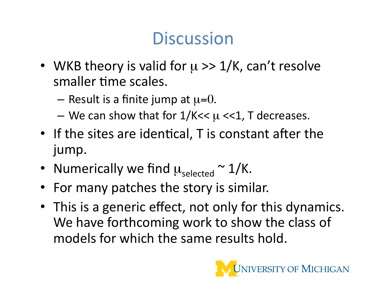### **Discussion**

- WKB theory is valid for  $\mu \gg 1/K$ , can't resolve smaller time scales.
	- Result is a finite jump at  $\mu=0$ .
	- We can show that for  $1/K < \mu < 1$ , T decreases.
- If the sites are identical, T is constant after the jump.
- Numerically we find  $\mu_{\text{selected}} \sim 1/K$ .
- For many patches the story is similar.
- This is a generic effect, not only for this dynamics. We have forthcoming work to show the class of models for which the same results hold.

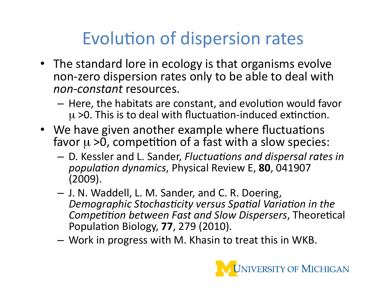# Evolution of dispersion rates

- The standard lore in ecology is that organisms evolve non-zero dispersion rates only to be able to deal with *non-constant* resources.
	- $-$  Here, the habitats are constant, and evolution would favor  $\mu$  >0. This is to deal with fluctuation-induced extinction.
- We have given another example where fluctuations favor  $\mu > 0$ , competition of a fast with a slow species:
	- $-$  D. Kessler and L. Sander, *Fluctuations and dispersal rates in population dynamics, Physical Review E, 80, 041907*  $(2009).$
	- $-$  J. N. Waddell, L. M. Sander, and C. R. Doering, **Demographic Stochasticity versus Spatial Variation in the** *Competition between Fast and Slow Dispersers, Theoretical* Population Biology, **77**, 279 (2010).
	- Work in progress with M. Khasin to treat this in WKB.